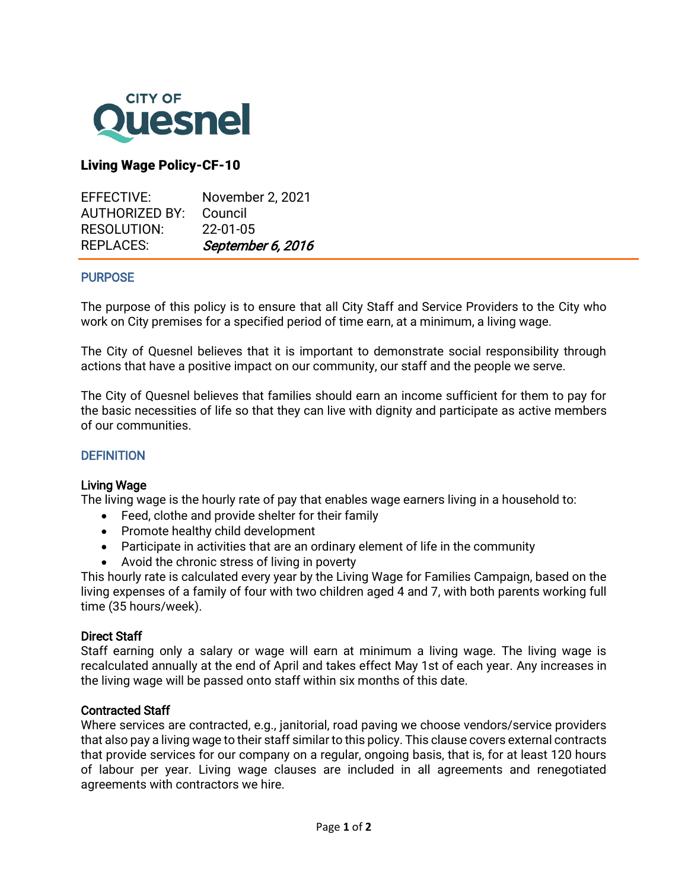

# Living Wage Policy-CF-10

| EFFECTIVE:         | November 2, 2021  |
|--------------------|-------------------|
| AUTHORIZED BY:     | Council           |
| <b>RESOLUTION:</b> | $22 - 01 - 05$    |
| <b>REPLACES:</b>   | September 6, 2016 |

### **PURPOSE**

j

The purpose of this policy is to ensure that all City Staff and Service Providers to the City who work on City premises for a specified period of time earn, at a minimum, a living wage.

The City of Quesnel believes that it is important to demonstrate social responsibility through actions that have a positive impact on our community, our staff and the people we serve.

The City of Quesnel believes that families should earn an income sufficient for them to pay for the basic necessities of life so that they can live with dignity and participate as active members of our communities.

#### **DEFINITION**

#### Living Wage

The living wage is the hourly rate of pay that enables wage earners living in a household to:

- Feed, clothe and provide shelter for their family
- Promote healthy child development
- Participate in activities that are an ordinary element of life in the community
- Avoid the chronic stress of living in poverty

This hourly rate is calculated every year by the Living Wage for Families Campaign, based on the living expenses of a family of four with two children aged 4 and 7, with both parents working full time (35 hours/week).

#### Direct Staff

Staff earning only a salary or wage will earn at minimum a living wage. The living wage is recalculated annually at the end of April and takes effect May 1st of each year. Any increases in the living wage will be passed onto staff within six months of this date.

#### Contracted Staff

Where services are contracted, e.g., janitorial, road paving we choose vendors/service providers that also pay a living wage to their staff similar to this policy. This clause covers external contracts that provide services for our company on a regular, ongoing basis, that is, for at least 120 hours of labour per year. Living wage clauses are included in all agreements and renegotiated agreements with contractors we hire.